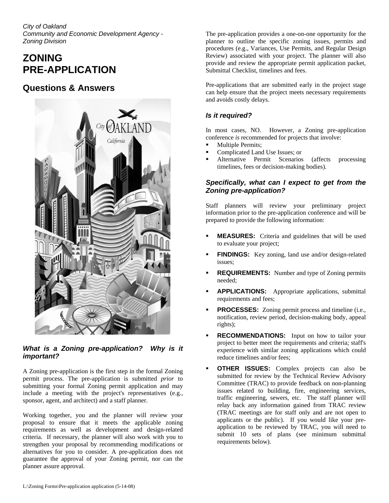*City of Oakland Community and Economic Development Agency - Zoning Division*

# **ZONING PRE-APPLICATION**

## **Questions & Answers**



*What is a Zoning pre-application? Why is it important?* 

A Zoning pre-application is the first step in the formal Zoning permit process. The pre-application is submitted *prior* to submitting your formal Zoning permit application and may include a meeting with the project's representatives (e.g., sponsor, agent, and architect) and a staff planner.

Working together, you and the planner will review your proposal to ensure that it meets the applicable zoning requirements as well as development and design-related criteria. If necessary, the planner will also work with you to strengthen your proposal by recommending modifications or alternatives for you to consider. A pre-application does not guarantee the approval of your Zoning permit, nor can the planner assure approval.

The pre-application provides a one-on-one opportunity for the planner to outline the specific zoning issues, permits and procedures (e.g., Variances, Use Permits, and Regular Design Review) associated with your project. The planner will also provide and review the appropriate permit application packet, Submittal Checklist, timelines and fees.

Pre-applications that are submitted early in the project stage can help ensure that the project meets necessary requirements and avoids costly delays.

## *Is it required?*

In most cases, NO. However, a Zoning pre-application conference *is* recommended for projects that involve:

- Multiple Permits;
- Complicated Land Use Issues; or
- Alternative Permit Scenarios (affects processing timelines, fees or decision-making bodies).

### *Specifically, what can I expect to get from the Zoning pre-application?*

Staff planners will review your preliminary project information prior to the pre-application conference and will be prepared to provide the following information:

- **MEASURES:** Criteria and guidelines that will be used to evaluate your project;
- **FINDINGS:** Key zoning, land use and/or design-related issues;
- **REQUIREMENTS:** Number and type of Zoning permits needed;
- **APPLICATIONS:** Appropriate applications, submittal requirements and fees;
- **PROCESSES:** Zoning permit process and timeline (i.e., notification, review period, decision-making body, appeal rights);
- **RECOMMENDATIONS:** Input on how to tailor your project to better meet the requirements and criteria; staff's experience with similar zoning applications which could reduce timelines and/or fees;
- **OTHER ISSUES:** Complex projects can also be submitted for review by the Technical Review Advisory Committee (TRAC) to provide feedback on non-planning issues related to building, fire, engineering services, traffic engineering, sewers, etc. The staff planner will relay back any information gained from TRAC review (TRAC meetings are for staff only and are not open to applicants or the public). If you would like your preapplication to be reviewed by TRAC, you will need to submit 10 sets of plans (see minimum submittal requirements below).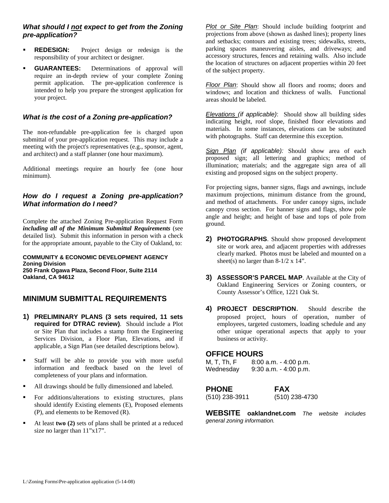#### *What should I not expect to get from the Zoning pre-application?*

- **REDESIGN:** Project design or redesign is the responsibility of your architect or designer.
- **GUARANTEES:** Determinations of approval will require an in-depth review of your complete Zoning permit application. The pre-application conference is intended to help you prepare the strongest application for your project.

### *What is the cost of a Zoning pre-application?*

The non-refundable pre-application fee is charged upon submittal of your pre-application request. This may include a meeting with the project's representatives (e.g., sponsor, agent, and architect) and a staff planner (one hour maximum).

Additional meetings require an hourly fee (one hour minimum).

#### *How do I request a Zoning pre-application? What information do I need?*

Complete the attached Zoning Pre-application Request Form *including all of the Minimum Submittal Requirements* (see detailed list). Submit this information in person with a check for the appropriate amount, payable to the City of Oakland, to:

**COMMUNITY & ECONOMIC DEVELOPMENT AGENCY Zoning Division 250 Frank Ogawa Plaza, Second Floor, Suite 2114 Oakland, CA 94612** 

## **MINIMUM SUBMITTAL REQUIREMENTS**

- **1) PRELIMINARY PLANS (3 sets required, 11 sets required for DTRAC review)**. Should include a Plot or Site Plan that includes a stamp from the Engineering Services Division, a Floor Plan, Elevations, and if applicable, a Sign Plan (see detailed descriptions below).
- Staff will be able to provide you with more useful information and feedback based on the level of completeness of your plans and information.
- All drawings should be fully dimensioned and labeled.
- For additions/alterations to existing structures, plans should identify Existing elements (E), Proposed elements (P), and elements to be Removed (R).
- At least **two (2)** sets of plans shall be printed at a reduced size no larger than  $11"x17"$ .

*Plot or Site Plan*: Should include building footprint and projections from above (shown as dashed lines); property lines and setbacks; contours and existing trees; sidewalks, streets, parking spaces maneuvering aisles, and driveways; and accessory structures, fences and retaining walls. Also include the location of structures on adjacent properties within 20 feet of the subject property.

*Floor Plan*: Should show all floors and rooms; doors and windows; and location and thickness of walls. Functional areas should be labeled.

*Elevations (if applicable)*: Should show all building sides indicating height, roof slope, finished floor elevations and materials. In some instances, elevations can be substituted with photographs. Staff can determine this exception.

*Sign Plan (if applicable):* Should show area of each proposed sign; all lettering and graphics; method of illumination; materials; and the aggregate sign area of all existing and proposed signs on the subject property.

For projecting signs, banner signs, flags and awnings, include maximum projections, minimum distance from the ground, and method of attachments. For under canopy signs, include canopy cross section. For banner signs and flags, show pole angle and height; and height of base and tops of pole from ground.

- **2) PHOTOGRAPHS**. Should show proposed development site or work area, and adjacent properties with addresses clearly marked. Photos must be labeled and mounted on a sheet(s) no larger than  $8-1/2 \times 14$ ".
- **3) ASSESSOR'S PARCEL MAP**. Available at the City of Oakland Engineering Services or Zoning counters, or County Assessor's Office, 1221 Oak St.
- **4) PROJECT DESCRIPTION***.* Should describe the proposed project, hours of operation, number of employees, targeted customers, loading schedule and any other unique operational aspects that apply to your business or activity.

#### **OFFICE HOURS**

| M, T, Th, F | $8:00$ a.m. $-4:00$ p.m. |
|-------------|--------------------------|
| Wednesday   | $9:30$ a.m. $-4:00$ p.m. |

#### **PHONE FAX**

(510) 238-3911 (510) 238-4730

**WEBSITE oaklandnet.com** *The website includes general zoning information.*